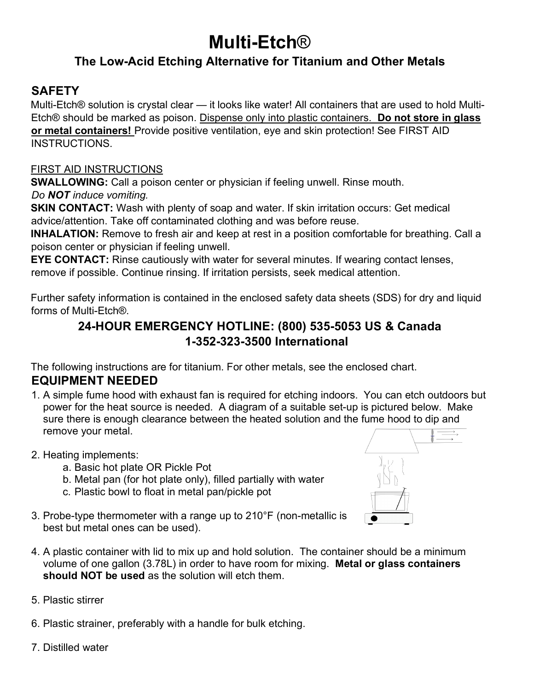# **Multi-Etch**® **The Low-Acid Etching Alternative for Titanium and Other Metals**

### **SAFETY**

Multi-Etch® solution is crystal clear — it looks like water! All containers that are used to hold Multi-Etch® should be marked as poison. Dispense only into plastic containers. **Do not store in glass or metal containers!** Provide positive ventilation, eye and skin protection! See FIRST AID INSTRUCTIONS.

### FIRST AID INSTRUCTIONS

**SWALLOWING:** Call a poison center or physician if feeling unwell. Rinse mouth. *Do NOT induce vomiting.* 

**SKIN CONTACT:** Wash with plenty of soap and water. If skin irritation occurs: Get medical advice/attention. Take off contaminated clothing and was before reuse.

**INHALATION:** Remove to fresh air and keep at rest in a position comfortable for breathing. Call a poison center or physician if feeling unwell.

**EYE CONTACT:** Rinse cautiously with water for several minutes. If wearing contact lenses, remove if possible. Continue rinsing. If irritation persists, seek medical attention.

Further safety information is contained in the enclosed safety data sheets (SDS) for dry and liquid forms of Multi-Etch®.

### **24-HOUR EMERGENCY HOTLINE: (800) 535-5053 US & Canada 1-352-323-3500 International**

The following instructions are for titanium. For other metals, see the enclosed chart. **EQUIPMENT NEEDED** 

- 1. A simple fume hood with exhaust fan is required for etching indoors. You can etch outdoors but power for the heat source is needed. A diagram of a suitable set-up is pictured below. Make sure there is enough clearance between the heated solution and the fume hood to dip and remove your metal.
- 2. Heating implements:
	- a. Basic hot plate OR Pickle Pot
	- b. Metal pan (for hot plate only), filled partially with water
	- c. Plastic bowl to float in metal pan/pickle pot
- 3. Probe-type thermometer with a range up to 210°F (non-metallic is best but metal ones can be used).
- 4. A plastic container with lid to mix up and hold solution. The container should be a minimum volume of one gallon (3.78L) in order to have room for mixing. **Metal or glass containers should NOT be used** as the solution will etch them.
- 5. Plastic stirrer

6. Plastic strainer, preferably with a handle for bulk etching.

7. Distilled water

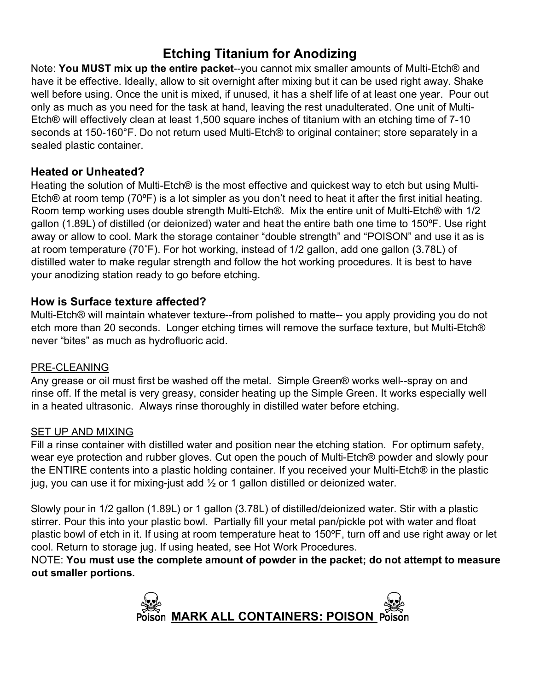### **Etching Titanium for Anodizing**

Note: **You MUST mix up the entire packet**--you cannot mix smaller amounts of Multi-Etch® and have it be effective. Ideally, allow to sit overnight after mixing but it can be used right away. Shake well before using. Once the unit is mixed, if unused, it has a shelf life of at least one year. Pour out only as much as you need for the task at hand, leaving the rest unadulterated. One unit of Multi-Etch® will effectively clean at least 1,500 square inches of titanium with an etching time of 7-10 seconds at 150-160°F. Do not return used Multi-Etch® to original container; store separately in a sealed plastic container.

### **Heated or Unheated?**

Heating the solution of Multi-Etch® is the most effective and quickest way to etch but using Multi-Etch® at room temp (70ºF) is a lot simpler as you don't need to heat it after the first initial heating. Room temp working uses double strength Multi-Etch®. Mix the entire unit of Multi-Etch® with 1/2 gallon (1.89L) of distilled (or deionized) water and heat the entire bath one time to 150ºF. Use right away or allow to cool. Mark the storage container "double strength" and "POISON" and use it as is at room temperature (70˚F). For hot working, instead of 1/2 gallon, add one gallon (3.78L) of distilled water to make regular strength and follow the hot working procedures. It is best to have your anodizing station ready to go before etching.

### **How is Surface texture affected?**

Multi-Etch® will maintain whatever texture--from polished to matte-- you apply providing you do not etch more than 20 seconds. Longer etching times will remove the surface texture, but Multi-Etch® never "bites" as much as hydrofluoric acid.

### PRE-CLEANING

Any grease or oil must first be washed off the metal. Simple Green® works well--spray on and rinse off. If the metal is very greasy, consider heating up the Simple Green. It works especially well in a heated ultrasonic. Always rinse thoroughly in distilled water before etching.

### SET UP AND MIXING

Fill a rinse container with distilled water and position near the etching station. For optimum safety, wear eye protection and rubber gloves. Cut open the pouch of Multi-Etch® powder and slowly pour the ENTIRE contents into a plastic holding container. If you received your Multi-Etch® in the plastic jug, you can use it for mixing-just add  $\frac{1}{2}$  or 1 gallon distilled or deionized water.

Slowly pour in 1/2 gallon (1.89L) or 1 gallon (3.78L) of distilled/deionized water. Stir with a plastic stirrer. Pour this into your plastic bowl. Partially fill your metal pan/pickle pot with water and float plastic bowl of etch in it. If using at room temperature heat to 150ºF, turn off and use right away or let cool. Return to storage jug. If using heated, see Hot Work Procedures.

NOTE: **You must use the complete amount of powder in the packet; do not attempt to measure out smaller portions.**

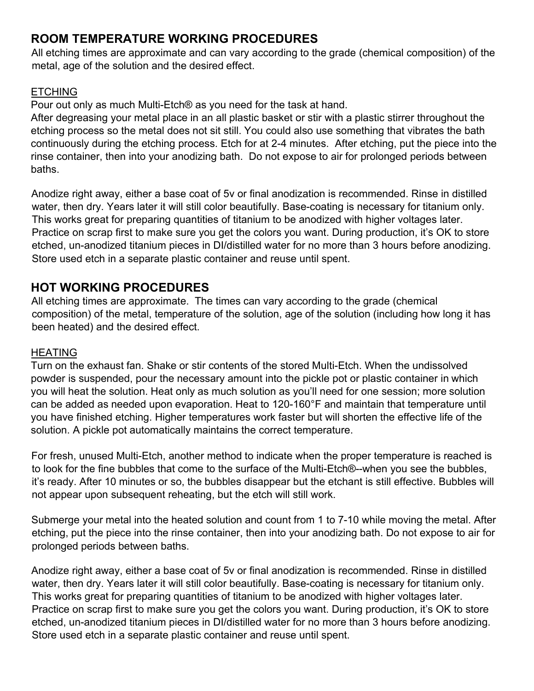### **ROOM TEMPERATURE WORKING PROCEDURES**

All etching times are approximate and can vary according to the grade (chemical composition) of the metal, age of the solution and the desired effect.

### **ETCHING**

Pour out only as much Multi-Etch® as you need for the task at hand.

After degreasing your metal place in an all plastic basket or stir with a plastic stirrer throughout the etching process so the metal does not sit still. You could also use something that vibrates the bath continuously during the etching process. Etch for at 2-4 minutes. After etching, put the piece into the rinse container, then into your anodizing bath. Do not expose to air for prolonged periods between baths.

Anodize right away, either a base coat of 5v or final anodization is recommended. Rinse in distilled water, then dry. Years later it will still color beautifully. Base-coating is necessary for titanium only. This works great for preparing quantities of titanium to be anodized with higher voltages later. Practice on scrap first to make sure you get the colors you want. During production, it's OK to store etched, un-anodized titanium pieces in DI/distilled water for no more than 3 hours before anodizing. Store used etch in a separate plastic container and reuse until spent.

### **HOT WORKING PROCEDURES**

All etching times are approximate. The times can vary according to the grade (chemical composition) of the metal, temperature of the solution, age of the solution (including how long it has been heated) and the desired effect.

### HEATING

Turn on the exhaust fan. Shake or stir contents of the stored Multi-Etch. When the undissolved powder is suspended, pour the necessary amount into the pickle pot or plastic container in which you will heat the solution. Heat only as much solution as you'll need for one session; more solution can be added as needed upon evaporation. Heat to 120-160°F and maintain that temperature until you have finished etching. Higher temperatures work faster but will shorten the effective life of the solution. A pickle pot automatically maintains the correct temperature.

For fresh, unused Multi-Etch, another method to indicate when the proper temperature is reached is to look for the fine bubbles that come to the surface of the Multi-Etch®--when you see the bubbles, it's ready. After 10 minutes or so, the bubbles disappear but the etchant is still effective. Bubbles will not appear upon subsequent reheating, but the etch will still work.

Submerge your metal into the heated solution and count from 1 to 7-10 while moving the metal. After etching, put the piece into the rinse container, then into your anodizing bath. Do not expose to air for prolonged periods between baths.

Anodize right away, either a base coat of 5v or final anodization is recommended. Rinse in distilled water, then dry. Years later it will still color beautifully. Base-coating is necessary for titanium only. This works great for preparing quantities of titanium to be anodized with higher voltages later. Practice on scrap first to make sure you get the colors you want. During production, it's OK to store etched, un-anodized titanium pieces in DI/distilled water for no more than 3 hours before anodizing. Store used etch in a separate plastic container and reuse until spent.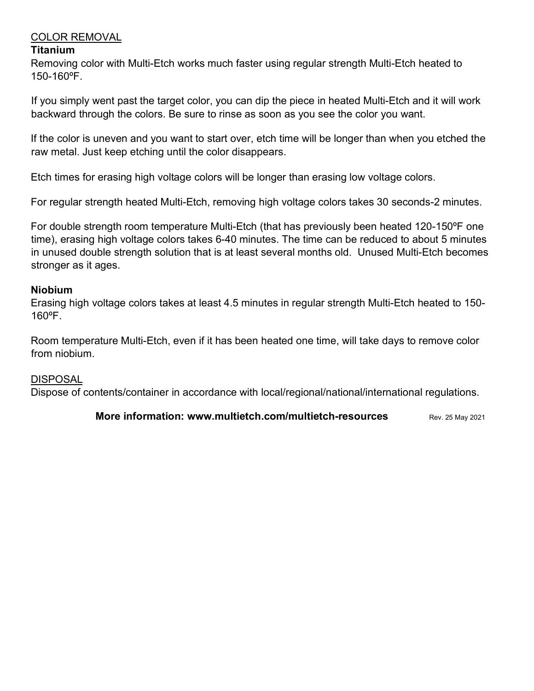### COLOR REMOVAL

### **Titanium**

Removing color with Multi-Etch works much faster using regular strength Multi-Etch heated to 150-160ºF.

If you simply went past the target color, you can dip the piece in heated Multi-Etch and it will work backward through the colors. Be sure to rinse as soon as you see the color you want.

If the color is uneven and you want to start over, etch time will be longer than when you etched the raw metal. Just keep etching until the color disappears.

Etch times for erasing high voltage colors will be longer than erasing low voltage colors.

For regular strength heated Multi-Etch, removing high voltage colors takes 30 seconds-2 minutes.

For double strength room temperature Multi-Etch (that has previously been heated 120-150ºF one time), erasing high voltage colors takes 6-40 minutes. The time can be reduced to about 5 minutes in unused double strength solution that is at least several months old. Unused Multi-Etch becomes stronger as it ages.

### **Niobium**

Erasing high voltage colors takes at least 4.5 minutes in regular strength Multi-Etch heated to 150- 160ºF.

Room temperature Multi-Etch, even if it has been heated one time, will take days to remove color from niobium.

### DISPOSAL

Dispose of contents/container in accordance with local/regional/national/international regulations.

**More information: www.multietch.com/multietch-resources** Rev. 25 May 2021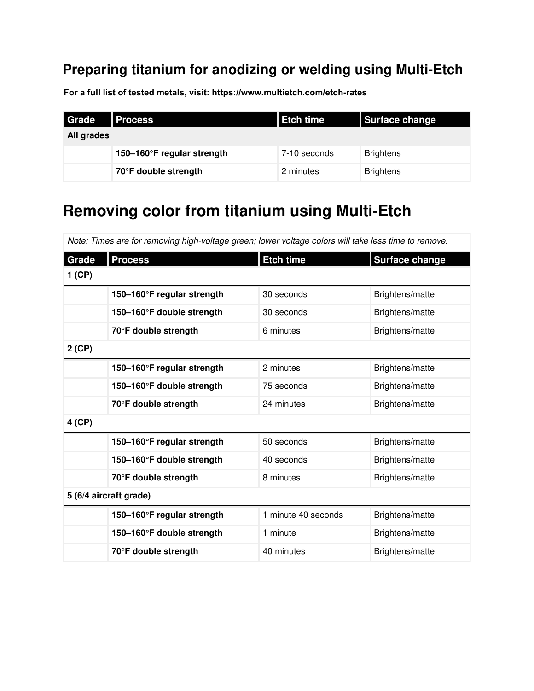## **Preparing titanium for anodizing or welding using Multi-Etch**

**For a full list of tested metals, visit: https://www.multietch.com/etch-rates**

| <b>Grade</b> | <b>Process</b>             | <b>Etch time</b> | Surface change   |
|--------------|----------------------------|------------------|------------------|
| All grades   |                            |                  |                  |
|              | 150-160°F regular strength | 7-10 seconds     | <b>Brightens</b> |
|              | 70°F double strength       | 2 minutes        | <b>Brightens</b> |

# **Removing color from titanium using Multi-Etch**

| Note: Times are for removing high-voltage green; lower voltage colors will take less time to remove. |                            |                     |                       |  |
|------------------------------------------------------------------------------------------------------|----------------------------|---------------------|-----------------------|--|
| Grade                                                                                                | <b>Process</b>             | <b>Etch time</b>    | <b>Surface change</b> |  |
| $1$ (CP)                                                                                             |                            |                     |                       |  |
|                                                                                                      | 150-160°F regular strength | 30 seconds          | Brightens/matte       |  |
|                                                                                                      | 150-160°F double strength  | 30 seconds          | Brightens/matte       |  |
|                                                                                                      | 70°F double strength       | 6 minutes           | Brightens/matte       |  |
| $2$ (CP)                                                                                             |                            |                     |                       |  |
|                                                                                                      | 150-160°F regular strength | 2 minutes           | Brightens/matte       |  |
|                                                                                                      | 150-160°F double strength  | 75 seconds          | Brightens/matte       |  |
|                                                                                                      | 70°F double strength       | 24 minutes          | Brightens/matte       |  |
| 4 (CP)                                                                                               |                            |                     |                       |  |
|                                                                                                      | 150-160°F regular strength | 50 seconds          | Brightens/matte       |  |
|                                                                                                      | 150-160°F double strength  | 40 seconds          | Brightens/matte       |  |
|                                                                                                      | 70°F double strength       | 8 minutes           | Brightens/matte       |  |
| 5 (6/4 aircraft grade)                                                                               |                            |                     |                       |  |
|                                                                                                      | 150-160°F regular strength | 1 minute 40 seconds | Brightens/matte       |  |
|                                                                                                      | 150-160°F double strength  | 1 minute            | Brightens/matte       |  |
|                                                                                                      | 70°F double strength       | 40 minutes          | Brightens/matte       |  |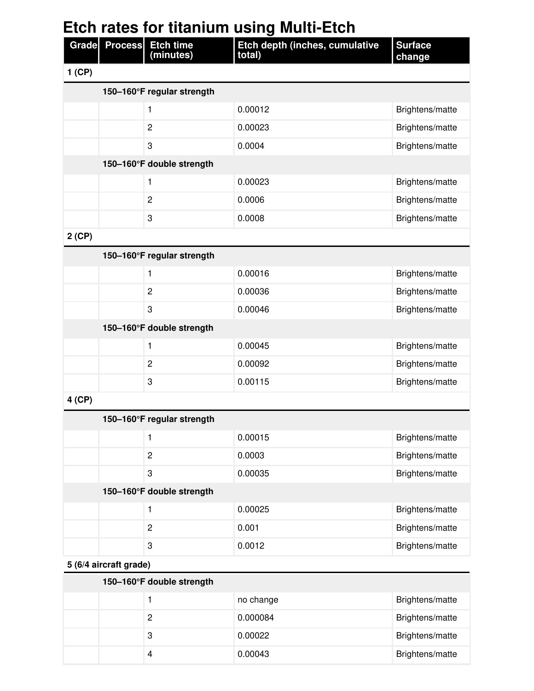| <b>Etch rates for titanium using Multi-Etch</b> |               |                               |                                          |                          |
|-------------------------------------------------|---------------|-------------------------------|------------------------------------------|--------------------------|
|                                                 | Grade Process | <b>Etch time</b><br>(minutes) | Etch depth (inches, cumulative<br>total) | <b>Surface</b><br>change |
| $1$ (CP)                                        |               |                               |                                          |                          |
|                                                 |               | 150-160°F regular strength    |                                          |                          |
|                                                 |               | 1                             | 0.00012                                  | Brightens/matte          |
|                                                 |               | $\overline{c}$                | 0.00023                                  | Brightens/matte          |
|                                                 |               | 3                             | 0.0004                                   | Brightens/matte          |
|                                                 |               | 150-160°F double strength     |                                          |                          |
|                                                 |               | 1                             | 0.00023                                  | Brightens/matte          |
|                                                 |               | $\overline{c}$                | 0.0006                                   | Brightens/matte          |
|                                                 |               | 3                             | 0.0008                                   | Brightens/matte          |
| $2$ (CP)                                        |               |                               |                                          |                          |
|                                                 |               | 150-160°F regular strength    |                                          |                          |
|                                                 |               | 1                             | 0.00016                                  | Brightens/matte          |
|                                                 |               | $\overline{c}$                | 0.00036                                  | Brightens/matte          |
|                                                 |               | 3                             | 0.00046                                  | Brightens/matte          |
|                                                 |               | 150-160°F double strength     |                                          |                          |
|                                                 |               | 1                             | 0.00045                                  | Brightens/matte          |
|                                                 |               | $\overline{2}$                | 0.00092                                  | Brightens/matte          |
|                                                 |               | 3                             | 0.00115                                  | Brightens/matte          |
| 4 (CP)                                          |               |                               |                                          |                          |
|                                                 |               | 150-160°F regular strength    |                                          |                          |
|                                                 |               | 1                             | 0.00015                                  | Brightens/matte          |

|                           |                | U.UUU I J | <b>Drighter</b> is/matter |  |
|---------------------------|----------------|-----------|---------------------------|--|
|                           | 2              | 0.0003    | Brightens/matte           |  |
|                           | 3              | 0.00035   | Brightens/matte           |  |
| 150-160°F double strength |                |           |                           |  |
|                           |                | 0.00025   | Brightens/matte           |  |
|                           | $\overline{2}$ | 0.001     | Brightens/matte           |  |
|                           | 3              | 0.0012    | Brightens/matte           |  |

**5 (6/4 aircraft grade)**

| 150–160 $\degree$ F double strength |           |                 |  |  |
|-------------------------------------|-----------|-----------------|--|--|
|                                     | no change | Brightens/matte |  |  |
| 2                                   | 0.000084  | Brightens/matte |  |  |
| 3                                   | 0.00022   | Brightens/matte |  |  |
| $\overline{4}$                      | 0.00043   | Brightens/matte |  |  |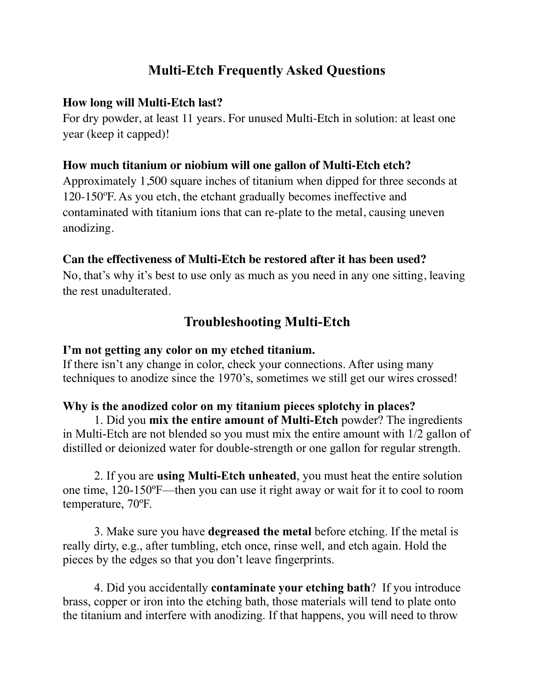### **Multi-Etch Frequently Asked Questions**

### **How long will Multi-Etch last?**

For dry powder, at least 11 years. For unused Multi-Etch in solution: at least one year (keep it capped)!

### **How much titanium or niobium will one gallon of Multi-Etch etch?**

Approximately 1,500 square inches of titanium when dipped for three seconds at 120-150ºF. As you etch, the etchant gradually becomes ineffective and contaminated with titanium ions that can re-plate to the metal, causing uneven anodizing.

### **Can the effectiveness of Multi-Etch be restored after it has been used?**

No, that's why it's best to use only as much as you need in any one sitting, leaving the rest unadulterated.

### **Troubleshooting Multi-Etch**

### **I'm not getting any color on my etched titanium.**

If there isn't any change in color, check your connections. After using many techniques to anodize since the 1970's, sometimes we still get our wires crossed!

### **Why is the anodized color on my titanium pieces splotchy in places?**

1. Did you **mix the entire amount of Multi-Etch** powder? The ingredients in Multi-Etch are not blended so you must mix the entire amount with 1/2 gallon of distilled or deionized water for double-strength or one gallon for regular strength.

2. If you are **using Multi-Etch unheated**, you must heat the entire solution one time, 120-150ºF—then you can use it right away or wait for it to cool to room temperature, 70ºF.

3. Make sure you have **degreased the metal** before etching. If the metal is really dirty, e.g., after tumbling, etch once, rinse well, and etch again. Hold the pieces by the edges so that you don't leave fingerprints.

4. Did you accidentally **contaminate your etching bath**? If you introduce brass, copper or iron into the etching bath, those materials will tend to plate onto the titanium and interfere with anodizing. If that happens, you will need to throw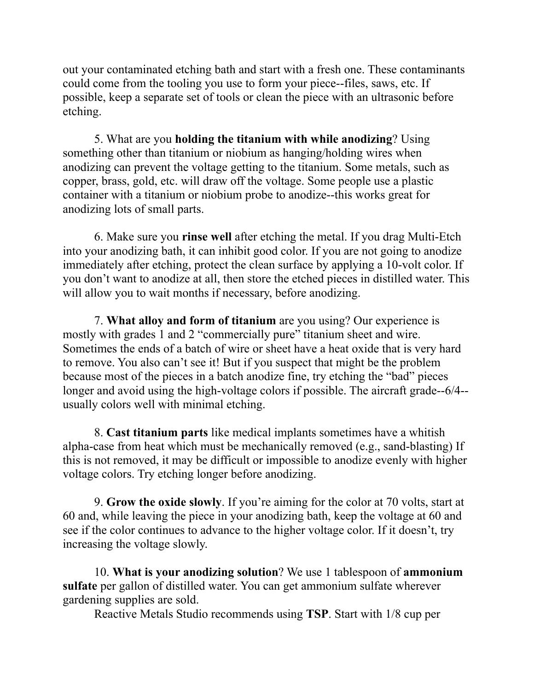out your contaminated etching bath and start with a fresh one. These contaminants could come from the tooling you use to form your piece--files, saws, etc. If possible, keep a separate set of tools or clean the piece with an ultrasonic before etching.

5. What are you **holding the titanium with while anodizing**? Using something other than titanium or niobium as hanging/holding wires when anodizing can prevent the voltage getting to the titanium. Some metals, such as copper, brass, gold, etc. will draw off the voltage. Some people use a plastic container with a titanium or niobium probe to anodize--this works great for anodizing lots of small parts.

6. Make sure you **rinse well** after etching the metal. If you drag Multi-Etch into your anodizing bath, it can inhibit good color. If you are not going to anodize immediately after etching, protect the clean surface by applying a 10-volt color. If you don't want to anodize at all, then store the etched pieces in distilled water. This will allow you to wait months if necessary, before anodizing.

7. **What alloy and form of titanium** are you using? Our experience is mostly with grades 1 and 2 "commercially pure" titanium sheet and wire. Sometimes the ends of a batch of wire or sheet have a heat oxide that is very hard to remove. You also can't see it! But if you suspect that might be the problem because most of the pieces in a batch anodize fine, try etching the "bad" pieces longer and avoid using the high-voltage colors if possible. The aircraft grade--6/4- usually colors well with minimal etching.

8. **Cast titanium parts** like medical implants sometimes have a whitish alpha-case from heat which must be mechanically removed (e.g., sand-blasting) If this is not removed, it may be difficult or impossible to anodize evenly with higher voltage colors. Try etching longer before anodizing.

9. **Grow the oxide slowly**. If you're aiming for the color at 70 volts, start at 60 and, while leaving the piece in your anodizing bath, keep the voltage at 60 and see if the color continues to advance to the higher voltage color. If it doesn't, try increasing the voltage slowly.

10. **What is your anodizing solution**? We use 1 tablespoon of **ammonium sulfate** per gallon of distilled water. You can get ammonium sulfate wherever gardening supplies are sold.

Reactive Metals Studio recommends using **TSP**. Start with 1/8 cup per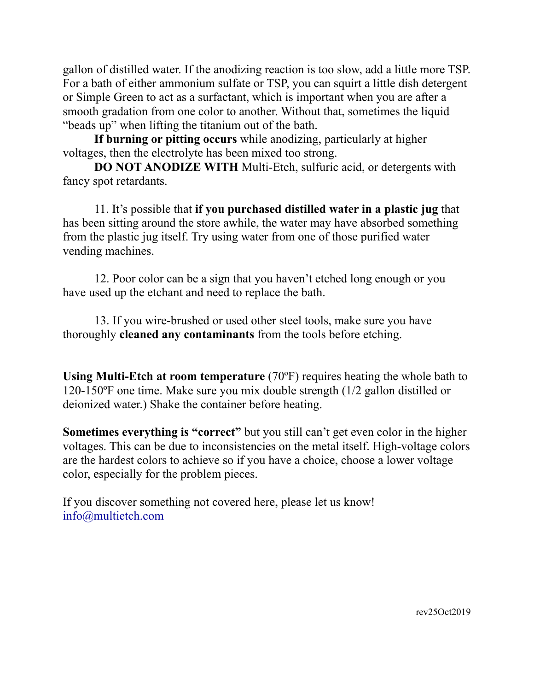gallon of distilled water. If the anodizing reaction is too slow, add a little more TSP. For a bath of either ammonium sulfate or TSP, you can squirt a little dish detergent or Simple Green to act as a surfactant, which is important when you are after a smooth gradation from one color to another. Without that, sometimes the liquid "beads up" when lifting the titanium out of the bath.

**If burning or pitting occurs** while anodizing, particularly at higher voltages, then the electrolyte has been mixed too strong.

**DO NOT ANODIZE WITH** Multi-Etch, sulfuric acid, or detergents with fancy spot retardants.

 11. It's possible that **if you purchased distilled water in a plastic jug** that has been sitting around the store awhile, the water may have absorbed something from the plastic jug itself. Try using water from one of those purified water vending machines.

 12. Poor color can be a sign that you haven't etched long enough or you have used up the etchant and need to replace the bath.

 13. If you wire-brushed or used other steel tools, make sure you have thoroughly **cleaned any contaminants** from the tools before etching.

**Using Multi-Etch at room temperature** (70ºF) requires heating the whole bath to 120-150ºF one time. Make sure you mix double strength (1/2 gallon distilled or deionized water.) Shake the container before heating.

**Sometimes everything is "correct"** but you still can't get even color in the higher voltages. This can be due to inconsistencies on the metal itself. High-voltage colors are the hardest colors to achieve so if you have a choice, choose a lower voltage color, especially for the problem pieces.

If you discover something not covered here, please let us know! info@multietch.com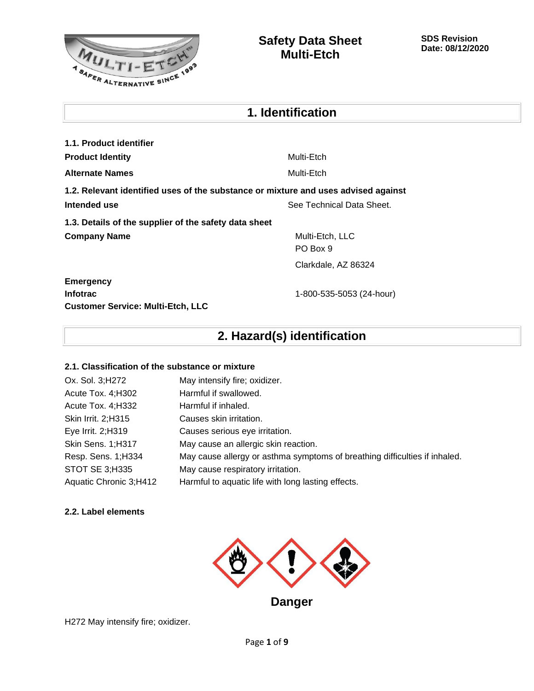

| 1. Identification                                     |                                                                                    |  |
|-------------------------------------------------------|------------------------------------------------------------------------------------|--|
| 1.1. Product identifier                               |                                                                                    |  |
| <b>Product Identity</b>                               | Multi-Etch                                                                         |  |
| Alternate Names                                       | Multi-Etch                                                                         |  |
|                                                       | 1.2. Relevant identified uses of the substance or mixture and uses advised against |  |
| Intended use<br>See Technical Data Sheet.             |                                                                                    |  |
| 1.3. Details of the supplier of the safety data sheet |                                                                                    |  |
| <b>Company Name</b>                                   | Multi-Etch, LLC<br>PO Box 9                                                        |  |
|                                                       | Clarkdale, AZ 86324                                                                |  |
| <b>Emergency</b>                                      |                                                                                    |  |
| Infotrac<br><b>Customer Service: Multi-Etch, LLC</b>  | 1-800-535-5053 (24-hour)                                                           |  |
|                                                       |                                                                                    |  |

### **2. Hazard(s) identification**

### **2.1. Classification of the substance or mixture**

| Ox. Sol. 3; H272       | May intensify fire; oxidizer.                                              |
|------------------------|----------------------------------------------------------------------------|
| Acute Tox. 4; H302     | Harmful if swallowed.                                                      |
| Acute Tox. 4; H332     | Harmful if inhaled.                                                        |
| Skin Irrit. 2; H315    | Causes skin irritation.                                                    |
| Eye Irrit. 2;H319      | Causes serious eye irritation.                                             |
| Skin Sens. 1;H317      | May cause an allergic skin reaction.                                       |
| Resp. Sens. 1;H334     | May cause allergy or asthma symptoms of breathing difficulties if inhaled. |
| STOT SE 3;H335         | May cause respiratory irritation.                                          |
| Aquatic Chronic 3;H412 | Harmful to aquatic life with long lasting effects.                         |

### **2.2. Label elements**



H272 May intensify fire; oxidizer.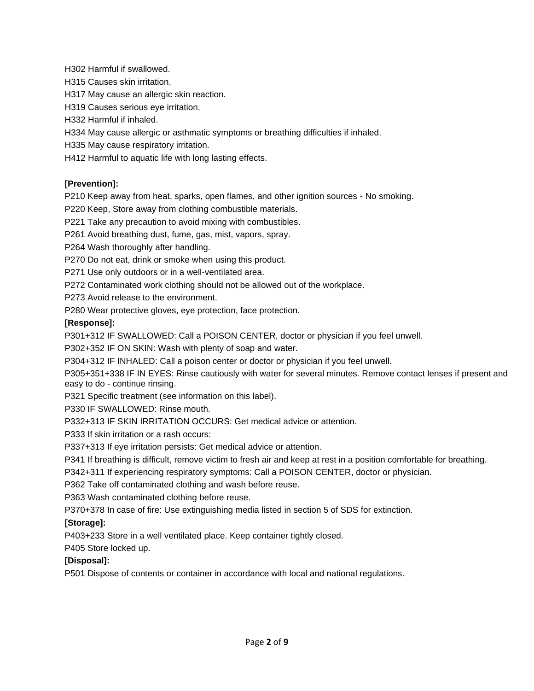H302 Harmful if swallowed.

H315 Causes skin irritation.

H317 May cause an allergic skin reaction.

H319 Causes serious eye irritation.

H332 Harmful if inhaled.

H334 May cause allergic or asthmatic symptoms or breathing difficulties if inhaled.

H335 May cause respiratory irritation.

H412 Harmful to aquatic life with long lasting effects.

### **[Prevention]:**

P210 Keep away from heat, sparks, open flames, and other ignition sources - No smoking.

P220 Keep, Store away from clothing combustible materials.

P221 Take any precaution to avoid mixing with combustibles.

P261 Avoid breathing dust, fume, gas, mist, vapors, spray.

P264 Wash thoroughly after handling.

P270 Do not eat, drink or smoke when using this product.

P271 Use only outdoors or in a well-ventilated area.

P272 Contaminated work clothing should not be allowed out of the workplace.

P273 Avoid release to the environment.

P280 Wear protective gloves, eye protection, face protection.

### **[Response]:**

P301+312 IF SWALLOWED: Call a POISON CENTER, doctor or physician if you feel unwell.

P302+352 IF ON SKIN: Wash with plenty of soap and water.

P304+312 IF INHALED: Call a poison center or doctor or physician if you feel unwell.

P305+351+338 IF IN EYES: Rinse cautiously with water for several minutes. Remove contact lenses if present and easy to do - continue rinsing.

P321 Specific treatment (see information on this label).

P330 IF SWALLOWED: Rinse mouth.

P332+313 IF SKIN IRRITATION OCCURS: Get medical advice or attention.

P333 If skin irritation or a rash occurs:

P337+313 If eye irritation persists: Get medical advice or attention.

P341 If breathing is difficult, remove victim to fresh air and keep at rest in a position comfortable for breathing.

P342+311 If experiencing respiratory symptoms: Call a POISON CENTER, doctor or physician.

P362 Take off contaminated clothing and wash before reuse.

P363 Wash contaminated clothing before reuse.

P370+378 In case of fire: Use extinguishing media listed in section 5 of SDS for extinction.

### **[Storage]:**

P403+233 Store in a well ventilated place. Keep container tightly closed.

P405 Store locked up.

### **[Disposal]:**

P501 Dispose of contents or container in accordance with local and national regulations.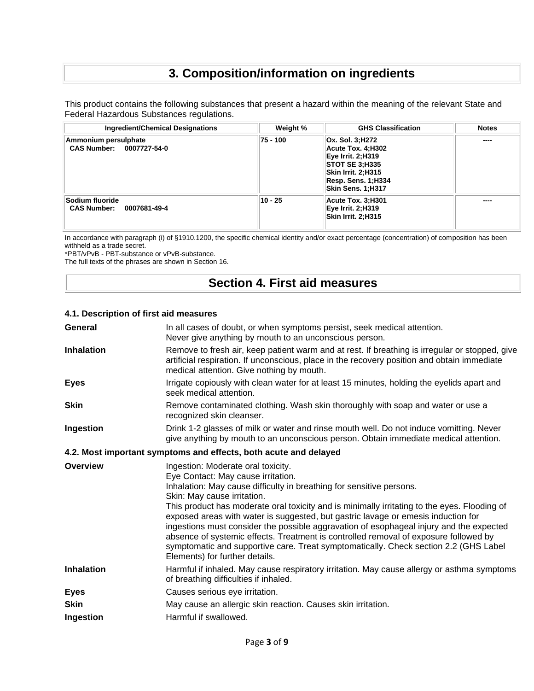### **3. Composition/information on ingredients**

This product contains the following substances that present a hazard within the meaning of the relevant State and Federal Hazardous Substances regulations.

| <b>Ingredient/Chemical Designations</b>               | Weight % | <b>GHS Classification</b>                                                                                                                                         | <b>Notes</b> |
|-------------------------------------------------------|----------|-------------------------------------------------------------------------------------------------------------------------------------------------------------------|--------------|
| Ammonium persulphate<br>CAS Number: 0007727-54-0      | 75 - 100 | Ox. Sol. 3;H272<br>Acute Tox. 4:H302<br><b>Eye Irrit. 2;H319</b><br><b>STOT SE 3:H335</b><br>Skin Irrit. 2;H315<br>Resp. Sens. 1;H334<br><b>Skin Sens. 1:H317</b> | ----         |
| Sodium fluoride<br><b>CAS Number:</b><br>0007681-49-4 | 10 - 25  | Acute Tox. 3;H301<br>Eye Irrit. 2;H319<br>Skin Irrit. 2;H315                                                                                                      | ----         |

In accordance with paragraph (i) of §1910.1200, the specific chemical identity and/or exact percentage (concentration) of composition has been withheld as a trade secret.

\*PBT/vPvB - PBT-substance or vPvB-substance.

The full texts of the phrases are shown in Section 16.

### **Section 4. First aid measures**

### **4.1. Description of first aid measures**

| General           | In all cases of doubt, or when symptoms persist, seek medical attention.<br>Never give anything by mouth to an unconscious person.                                                                                                                                                                                                                                                                                                                                                                                                                                                                                                                                                |
|-------------------|-----------------------------------------------------------------------------------------------------------------------------------------------------------------------------------------------------------------------------------------------------------------------------------------------------------------------------------------------------------------------------------------------------------------------------------------------------------------------------------------------------------------------------------------------------------------------------------------------------------------------------------------------------------------------------------|
| <b>Inhalation</b> | Remove to fresh air, keep patient warm and at rest. If breathing is irregular or stopped, give<br>artificial respiration. If unconscious, place in the recovery position and obtain immediate<br>medical attention. Give nothing by mouth.                                                                                                                                                                                                                                                                                                                                                                                                                                        |
| <b>Eyes</b>       | Irrigate copiously with clean water for at least 15 minutes, holding the eyelids apart and<br>seek medical attention.                                                                                                                                                                                                                                                                                                                                                                                                                                                                                                                                                             |
| <b>Skin</b>       | Remove contaminated clothing. Wash skin thoroughly with soap and water or use a<br>recognized skin cleanser.                                                                                                                                                                                                                                                                                                                                                                                                                                                                                                                                                                      |
| Ingestion         | Drink 1-2 glasses of milk or water and rinse mouth well. Do not induce vomitting. Never<br>give anything by mouth to an unconscious person. Obtain immediate medical attention.                                                                                                                                                                                                                                                                                                                                                                                                                                                                                                   |
|                   | 4.2. Most important symptoms and effects, both acute and delayed                                                                                                                                                                                                                                                                                                                                                                                                                                                                                                                                                                                                                  |
| Overview          | Ingestion: Moderate oral toxicity.<br>Eye Contact: May cause irritation.<br>Inhalation: May cause difficulty in breathing for sensitive persons.<br>Skin: May cause irritation.<br>This product has moderate oral toxicity and is minimally irritating to the eyes. Flooding of<br>exposed areas with water is suggested, but gastric lavage or emesis induction for<br>ingestions must consider the possible aggravation of esophageal injury and the expected<br>absence of systemic effects. Treatment is controlled removal of exposure followed by<br>symptomatic and supportive care. Treat symptomatically. Check section 2.2 (GHS Label<br>Elements) for further details. |
| <b>Inhalation</b> | Harmful if inhaled. May cause respiratory irritation. May cause allergy or asthma symptoms<br>of breathing difficulties if inhaled.                                                                                                                                                                                                                                                                                                                                                                                                                                                                                                                                               |
| <b>Eyes</b>       | Causes serious eye irritation.                                                                                                                                                                                                                                                                                                                                                                                                                                                                                                                                                                                                                                                    |
| <b>Skin</b>       | May cause an allergic skin reaction. Causes skin irritation.                                                                                                                                                                                                                                                                                                                                                                                                                                                                                                                                                                                                                      |
| Ingestion         | Harmful if swallowed.                                                                                                                                                                                                                                                                                                                                                                                                                                                                                                                                                                                                                                                             |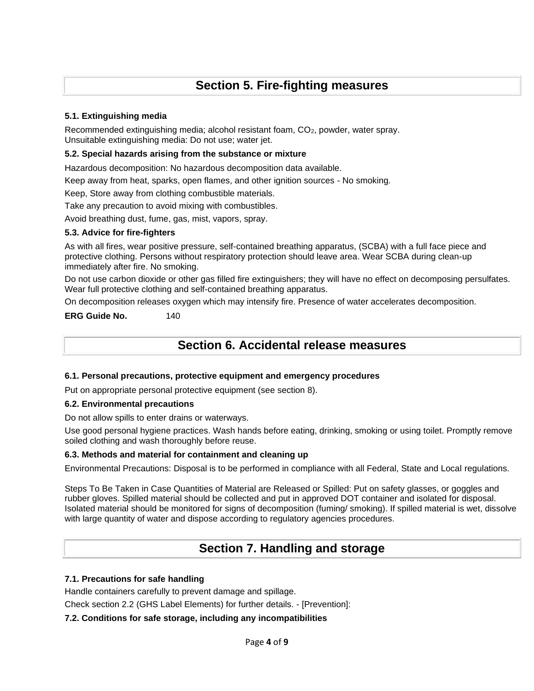### **Section 5. Fire-fighting measures**

### **5.1. Extinguishing media**

Recommended extinguishing media; alcohol resistant foam, CO2, powder, water spray. Unsuitable extinguishing media: Do not use; water jet.

#### **5.2. Special hazards arising from the substance or mixture**

Hazardous decomposition: No hazardous decomposition data available.

Keep away from heat, sparks, open flames, and other ignition sources - No smoking.

Keep, Store away from clothing combustible materials.

Take any precaution to avoid mixing with combustibles.

Avoid breathing dust, fume, gas, mist, vapors, spray.

#### **5.3. Advice for fire-fighters**

As with all fires, wear positive pressure, self-contained breathing apparatus, (SCBA) with a full face piece and protective clothing. Persons without respiratory protection should leave area. Wear SCBA during clean-up immediately after fire. No smoking.

Do not use carbon dioxide or other gas filled fire extinguishers; they will have no effect on decomposing persulfates. Wear full protective clothing and self-contained breathing apparatus.

On decomposition releases oxygen which may intensify fire. Presence of water accelerates decomposition.

**ERG Guide No.** 140

### **Section 6. Accidental release measures**

#### **6.1. Personal precautions, protective equipment and emergency procedures**

Put on appropriate personal protective equipment (see section 8).

#### **6.2. Environmental precautions**

Do not allow spills to enter drains or waterways.

Use good personal hygiene practices. Wash hands before eating, drinking, smoking or using toilet. Promptly remove soiled clothing and wash thoroughly before reuse.

#### **6.3. Methods and material for containment and cleaning up**

Environmental Precautions: Disposal is to be performed in compliance with all Federal, State and Local regulations.

Steps To Be Taken in Case Quantities of Material are Released or Spilled: Put on safety glasses, or goggles and rubber gloves. Spilled material should be collected and put in approved DOT container and isolated for disposal. Isolated material should be monitored for signs of decomposition (fuming/ smoking). If spilled material is wet, dissolve with large quantity of water and dispose according to regulatory agencies procedures.

### **Section 7. Handling and storage**

### **7.1. Precautions for safe handling**

Handle containers carefully to prevent damage and spillage.

Check section 2.2 (GHS Label Elements) for further details. - [Prevention]:

### **7.2. Conditions for safe storage, including any incompatibilities**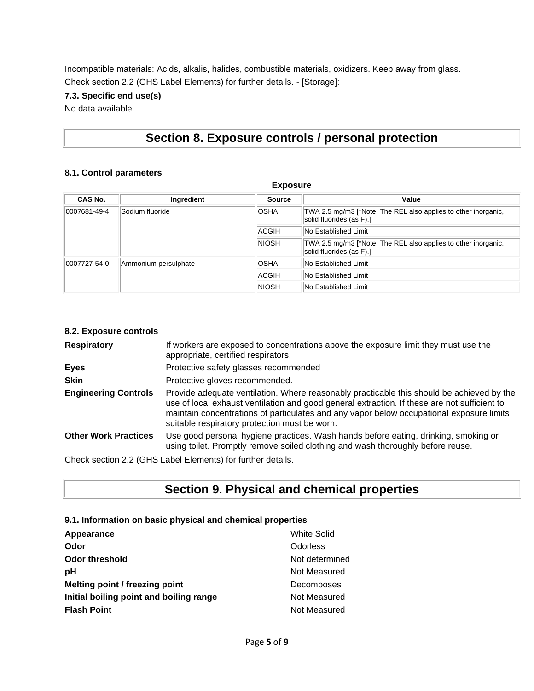Incompatible materials: Acids, alkalis, halides, combustible materials, oxidizers. Keep away from glass. Check section 2.2 (GHS Label Elements) for further details. - [Storage]:

### **7.3. Specific end use(s)**

No data available.

### **Section 8. Exposure controls / personal protection**

#### **8.1. Control parameters**

| <b>Exposure</b> |                      |               |                                                                                            |  |
|-----------------|----------------------|---------------|--------------------------------------------------------------------------------------------|--|
| CAS No.         | Ingredient           | <b>Source</b> | Value                                                                                      |  |
| 0007681-49-4    | Sodium fluoride      | <b>OSHA</b>   | TWA 2.5 mg/m3 [*Note: The REL also applies to other inorganic,<br>solid fluorides (as F).] |  |
|                 |                      | <b>ACGIH</b>  | <b>No Established Limit</b>                                                                |  |
|                 |                      | <b>NIOSH</b>  | TWA 2.5 mg/m3 [*Note: The REL also applies to other inorganic,<br>solid fluorides (as F).] |  |
| 0007727-54-0    | Ammonium persulphate | <b>OSHA</b>   | <b>No Established Limit</b>                                                                |  |
|                 |                      | <b>ACGIH</b>  | <b>No Established Limit</b>                                                                |  |
|                 |                      | <b>NIOSH</b>  | No Established Limit                                                                       |  |

#### **8.2. Exposure controls**

| <b>Respiratory</b>          | If workers are exposed to concentrations above the exposure limit they must use the<br>appropriate, certified respirators.                                                                                                                                                                                                             |
|-----------------------------|----------------------------------------------------------------------------------------------------------------------------------------------------------------------------------------------------------------------------------------------------------------------------------------------------------------------------------------|
| <b>Eyes</b>                 | Protective safety glasses recommended                                                                                                                                                                                                                                                                                                  |
| <b>Skin</b>                 | Protective gloves recommended.                                                                                                                                                                                                                                                                                                         |
| <b>Engineering Controls</b> | Provide adequate ventilation. Where reasonably practicable this should be achieved by the<br>use of local exhaust ventilation and good general extraction. If these are not sufficient to<br>maintain concentrations of particulates and any vapor below occupational exposure limits<br>suitable respiratory protection must be worn. |
| <b>Other Work Practices</b> | Use good personal hygiene practices. Wash hands before eating, drinking, smoking or<br>using toilet. Promptly remove soiled clothing and wash thoroughly before reuse.                                                                                                                                                                 |
|                             | Check section 2.2 (GHS Label Elements) for further details.                                                                                                                                                                                                                                                                            |

**Section 9. Physical and chemical properties**

#### **9.1. Information on basic physical and chemical properties**

| Appearance                              | <b>White Solid</b> |
|-----------------------------------------|--------------------|
| Odor                                    | Odorless           |
| Odor threshold                          | Not determined     |
| рH                                      | Not Measured       |
| Melting point / freezing point          | Decomposes         |
| Initial boiling point and boiling range | Not Measured       |
| <b>Flash Point</b>                      | Not Measured       |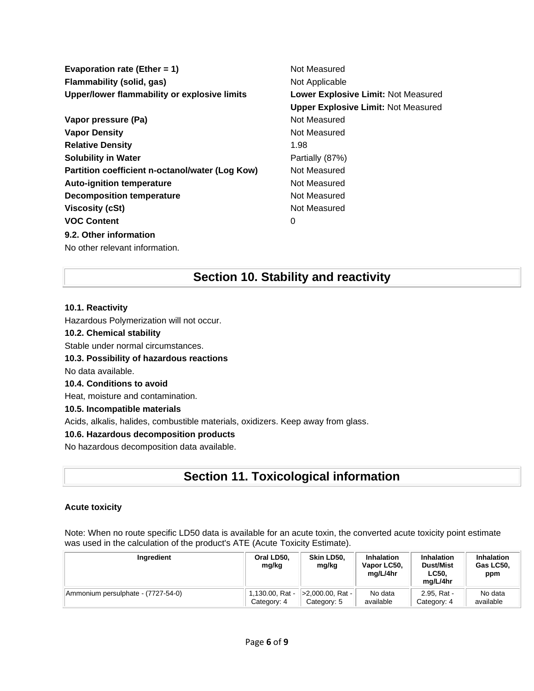**Evaporation rate (Ether = 1)** Not Measured **Flammability (solid, gas)** Not Applicable **Upper/lower flammability or explosive limits Lower Explosive Limit:** Not Measured

**Vapor pressure (Pa)** Not Measured **Vapor Density Not Measured** Not Measured **Relative Density** 1.98 **Solubility in Water Partially (87%) Partition coefficient n-octanol/water (Log Kow)** Not Measured **Auto-ignition temperature** Not Measured **Decomposition temperature** Not Measured **Viscosity (cSt)** Not Measured **VOC Content** 0 **9.2. Other information**

**Upper Explosive Limit:** Not Measured

#### **10.1. Reactivity**

Hazardous Polymerization will not occur.

#### **10.2. Chemical stability**

No other relevant information.

Stable under normal circumstances.

#### **10.3. Possibility of hazardous reactions**

No data available.

#### **10.4. Conditions to avoid**

Heat, moisture and contamination.

#### **10.5. Incompatible materials**

Acids, alkalis, halides, combustible materials, oxidizers. Keep away from glass.

#### **10.6. Hazardous decomposition products**

No hazardous decomposition data available.

### **Section 11. Toxicological information**

**Section 10. Stability and reactivity**

#### **Acute toxicity**

Note: When no route specific LD50 data is available for an acute toxin, the converted acute toxicity point estimate was used in the calculation of the product's ATE (Acute Toxicity Estimate).

| Ingredient                         | Oral LD50.<br>mg/kg | Skin LD50.<br>mg/kg | <b>Inhalation</b><br>Vapor LC50,<br>ma/L/4hr | <b>Inhalation</b><br><b>Dust/Mist</b><br><b>LC50.</b><br>ma/L/4hr | <b>Inhalation</b><br>Gas LC50.<br>ppm |
|------------------------------------|---------------------|---------------------|----------------------------------------------|-------------------------------------------------------------------|---------------------------------------|
| Ammonium persulphate - (7727-54-0) | 1,130.00, Rat -     | >2,000.00, Rat -    | No data                                      | 2.95. Rat -                                                       | No data                               |
|                                    | Category: 4         | Category: 5         | available                                    | Category: 4                                                       | available                             |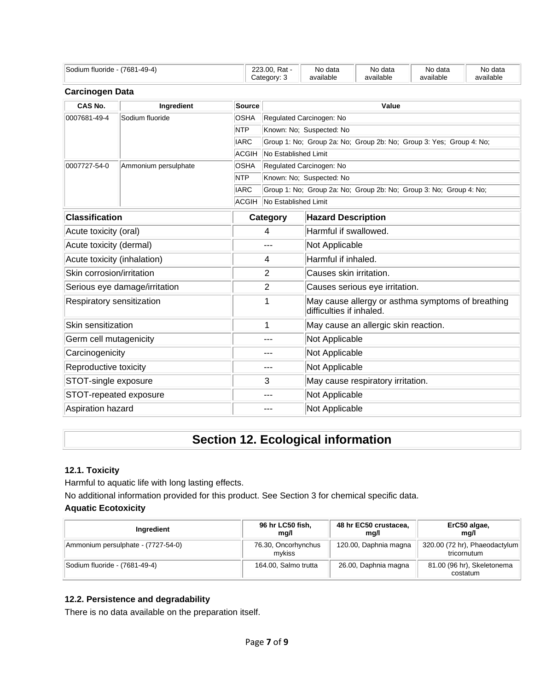| Sodium<br>$1 - 49 - 4'$<br>(7681<br>fluoride<br>−~ | 23.00<br>ooc<br>Rat<br>___ | data<br>No    | ∙data<br>Nο | No data   | No<br>data י          |
|----------------------------------------------------|----------------------------|---------------|-------------|-----------|-----------------------|
|                                                    | $-1 - 1 - 1$<br>. . TV     | <br>available | available   | available | $\cdots$<br>available |

#### **Carcinogen Data**

| CAS No.                     | Ingredient                    | Source       | Value                                                               |                                                                               |  |  |  |
|-----------------------------|-------------------------------|--------------|---------------------------------------------------------------------|-------------------------------------------------------------------------------|--|--|--|
| 0007681-49-4                | Sodium fluoride               | <b>OSHA</b>  |                                                                     | Regulated Carcinogen: No                                                      |  |  |  |
|                             |                               | <b>NTP</b>   | Known: No; Suspected: No                                            |                                                                               |  |  |  |
|                             |                               | <b>IARC</b>  | Group 1: No; Group 2a: No; Group 2b: No; Group 3: Yes; Group 4: No; |                                                                               |  |  |  |
|                             |                               | <b>ACGIH</b> | No Established Limit                                                |                                                                               |  |  |  |
| 0007727-54-0                | Ammonium persulphate          | <b>OSHA</b>  | Regulated Carcinogen: No                                            |                                                                               |  |  |  |
|                             |                               | <b>NTP</b>   | Known: No; Suspected: No                                            |                                                                               |  |  |  |
|                             |                               | <b>IARC</b>  |                                                                     | Group 1: No; Group 2a: No; Group 2b: No; Group 3: No; Group 4: No;            |  |  |  |
|                             |                               | ACGIH        | No Established Limit                                                |                                                                               |  |  |  |
| <b>Classification</b>       |                               |              | Category                                                            | <b>Hazard Description</b>                                                     |  |  |  |
| Acute toxicity (oral)       |                               |              | 4                                                                   | Harmful if swallowed.                                                         |  |  |  |
| Acute toxicity (dermal)     |                               |              | $---$                                                               | Not Applicable                                                                |  |  |  |
| Acute toxicity (inhalation) |                               |              | $\overline{4}$                                                      | Harmful if inhaled.                                                           |  |  |  |
| Skin corrosion/irritation   |                               |              | 2                                                                   | Causes skin irritation.                                                       |  |  |  |
|                             | Serious eye damage/irritation |              | 2                                                                   | Causes serious eye irritation.                                                |  |  |  |
| Respiratory sensitization   |                               |              | 1                                                                   | May cause allergy or asthma symptoms of breathing<br>difficulties if inhaled. |  |  |  |
| Skin sensitization          |                               |              | 1                                                                   | May cause an allergic skin reaction.                                          |  |  |  |
| Germ cell mutagenicity      |                               |              | ---                                                                 | Not Applicable                                                                |  |  |  |
| Carcinogenicity             |                               |              | $---$                                                               | Not Applicable                                                                |  |  |  |
| Reproductive toxicity       |                               |              | $---$                                                               | Not Applicable                                                                |  |  |  |
| STOT-single exposure        |                               |              | 3                                                                   | May cause respiratory irritation.                                             |  |  |  |
| STOT-repeated exposure      |                               |              | $- - -$                                                             | Not Applicable                                                                |  |  |  |
| Aspiration hazard           |                               |              | ---                                                                 | Not Applicable                                                                |  |  |  |

### **Section 12. Ecological information**

#### **12.1. Toxicity**

Harmful to aquatic life with long lasting effects.

No additional information provided for this product. See Section 3 for chemical specific data.

### **Aquatic Ecotoxicity**

| Ingredient                         | 96 hr LC50 fish,<br>ma/l      | 48 hr EC50 crustacea,<br>ma/l | ErC50 algae,<br>ma/l                         |
|------------------------------------|-------------------------------|-------------------------------|----------------------------------------------|
| Ammonium persulphate - (7727-54-0) | 76.30, Oncorhynchus<br>mvkiss | 120.00, Daphnia magna         | 320.00 (72 hr), Phaeodactylum<br>tricornutum |
| Sodium fluoride - (7681-49-4)      | 164.00, Salmo trutta          | 26.00, Daphnia magna          | 81.00 (96 hr), Skeletonema<br>costatum       |

### **12.2. Persistence and degradability**

There is no data available on the preparation itself.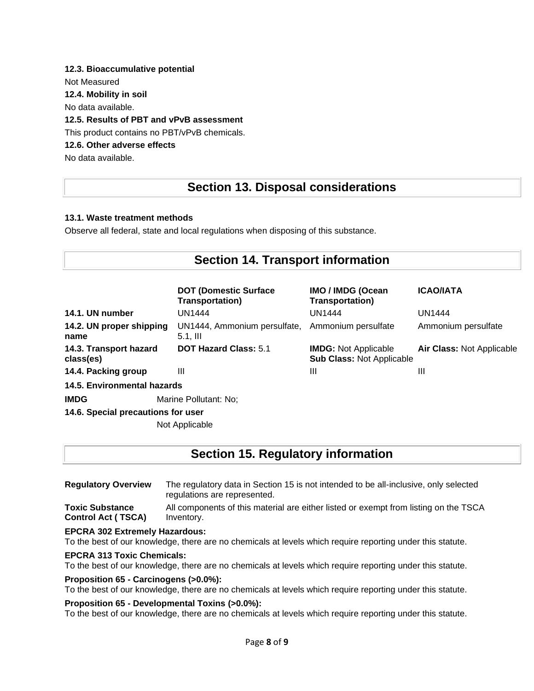### **12.3. Bioaccumulative potential**

Not Measured

**12.4. Mobility in soil**

No data available.

#### **12.5. Results of PBT and vPvB assessment**

This product contains no PBT/vPvB chemicals.

#### **12.6. Other adverse effects**

No data available.

### **Section 13. Disposal considerations**

#### **13.1. Waste treatment methods**

Observe all federal, state and local regulations when disposing of this substance.

| <b>Section 14. Transport information</b> |                                                         |                                                                 |                                  |  |  |  |
|------------------------------------------|---------------------------------------------------------|-----------------------------------------------------------------|----------------------------------|--|--|--|
|                                          | <b>DOT (Domestic Surface)</b><br><b>Transportation)</b> | <b>IMO / IMDG (Ocean</b><br><b>Transportation)</b>              | <b>ICAO/IATA</b>                 |  |  |  |
| 14.1. UN number                          | UN1444                                                  | <b>UN1444</b>                                                   | <b>UN1444</b>                    |  |  |  |
| 14.2. UN proper shipping<br>name         | UN1444, Ammonium persulfate,<br>$5.1,$ III              | Ammonium persulfate                                             | Ammonium persulfate              |  |  |  |
| 14.3. Transport hazard<br>class(es)      | <b>DOT Hazard Class: 5.1</b>                            | <b>IMDG: Not Applicable</b><br><b>Sub Class: Not Applicable</b> | <b>Air Class: Not Applicable</b> |  |  |  |
| 14.4. Packing group                      | Ш                                                       | Ш                                                               | Ш                                |  |  |  |
| 14.5. Environmental hazards              |                                                         |                                                                 |                                  |  |  |  |
| <b>IMDG</b><br>Marine Pollutant: No;     |                                                         |                                                                 |                                  |  |  |  |

**14.6. Special precautions for user**

Not Applicable

### **Section 15. Regulatory information**

**Regulatory Overview** The regulatory data in Section 15 is not intended to be all-inclusive, only selected regulations are represented. **Toxic Substance Control Act ( TSCA)** All components of this material are either listed or exempt from listing on the TSCA Inventory.

#### **EPCRA 302 Extremely Hazardous:**

To the best of our knowledge, there are no chemicals at levels which require reporting under this statute.

#### **EPCRA 313 Toxic Chemicals:**

To the best of our knowledge, there are no chemicals at levels which require reporting under this statute.

#### **Proposition 65 - Carcinogens (>0.0%):**

To the best of our knowledge, there are no chemicals at levels which require reporting under this statute.

#### **Proposition 65 - Developmental Toxins (>0.0%):**

To the best of our knowledge, there are no chemicals at levels which require reporting under this statute.